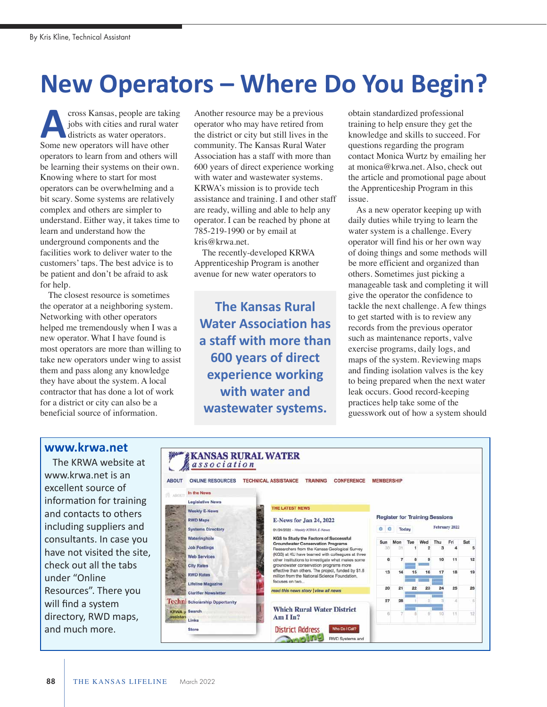## **New Operators – Where Do You Begin?**

cross Kansas, people are taking jobs with cities and rural water districts as water operators. **A** cross Kansas, people are taki<br>
jobs with cities and rural wat<br>
districts as water operators.<br>
Some new operators will have other operators to learn from and others will be learning their systems on their own. Knowing where to start for most operators can be overwhelming and a bit scary. Some systems are relatively complex and others are simpler to understand. Either way, it takes time to learn and understand how the underground components and the facilities work to deliver water to the customers' taps. The best advice is to be patient and don't be afraid to ask for help.

The closest resource is sometimes the operator at a neighboring system. Networking with other operators helped me tremendously when I was a new operator. What I have found is most operators are more than willing to take new operators under wing to assist them and pass along any knowledge they have about the system. A local contractor that has done a lot of work for a district or city can also be a beneficial source of information.

Another resource may be a previous operator who may have retired from the district or city but still lives in the community. The Kansas Rural Water Association has a staff with more than 600 years of direct experience working with water and wastewater systems. KRWA's mission is to provide tech assistance and training. I and other staff are ready, willing and able to help any operator. I can be reached by phone at 785-219-1990 or by email at kris@krwa.net.

The recently-developed KRWA Apprenticeship Program is another avenue for new water operators to

**The Kansas Rural Water Association has a staff with more than 600 years of direct experience working with water and wastewater systems.** 

obtain standardized professional training to help ensure they get the knowledge and skills to succeed. For questions regarding the program contact Monica Wurtz by emailing her at monica@krwa.net. Also, check out the article and promotional page about the Apprenticeship Program in this issue.

As a new operator keeping up with daily duties while trying to learn the water system is a challenge. Every operator will find his or her own way of doing things and some methods will be more efficient and organized than others. Sometimes just picking a manageable task and completing it will give the operator the confidence to tackle the next challenge. A few things to get started with is to review any records from the previous operator such as maintenance reports, valve exercise programs, daily logs, and maps of the system. Reviewing maps and finding isolation valves is the key to being prepared when the next water leak occurs. Good record-keeping practices help take some of the guesswork out of how a system should

## **www.krwa.net**

The KRWA website at www.krwa.net is an excellent source of information for training and contacts to others including suppliers and consultants. In case you have not visited the site, check out all the tabs under "Online Resources". There you will find a system directory, RWD maps, and much more.